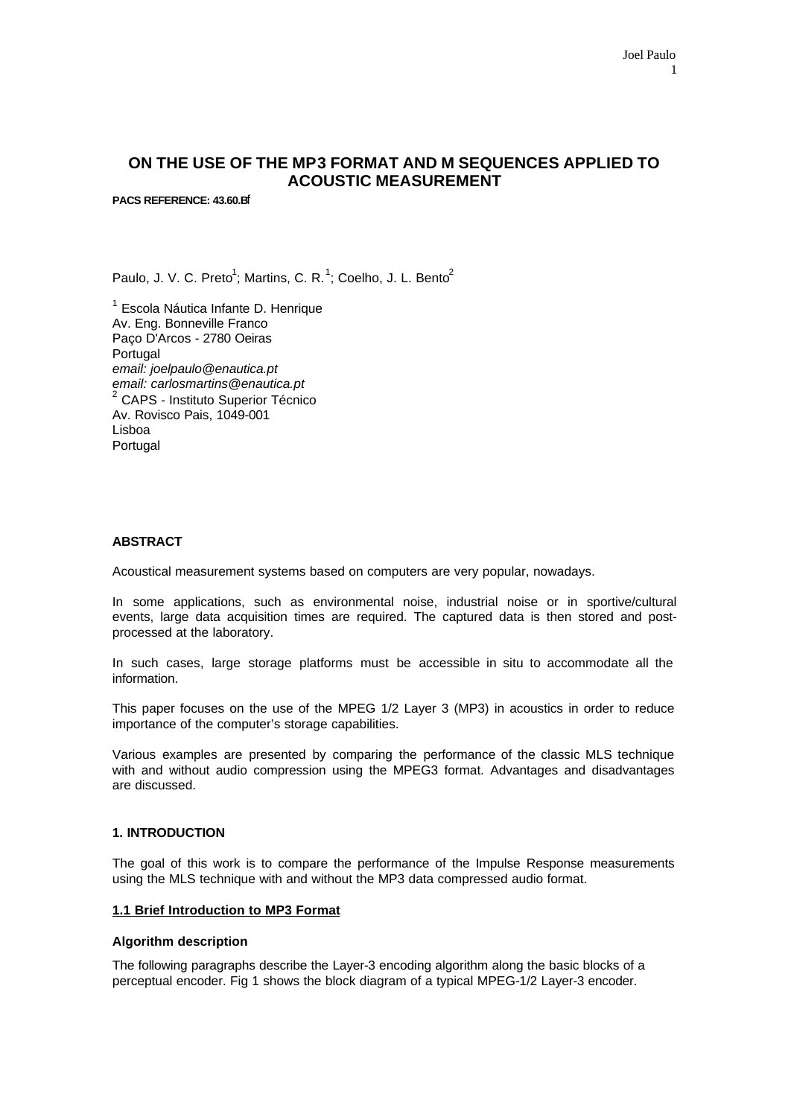# **ON THE USE OF THE MP3 FORMAT AND M SEQUENCES APPLIED TO ACOUSTIC MEASUREMENT**

**PACS REFERENCE: 43.60.B**f

Paulo, J. V. C. Preto<sup>1</sup>; Martins, C. R.<sup>1</sup>; Coelho, J. L. Bento<sup>2</sup>

<sup>1</sup> Escola Náutica Infante D. Henrique Av. Eng. Bonneville Franco Paço D'Arcos - 2780 Oeiras Portugal *email: joelpaulo@enautica.pt email: carlosmartins@enautica.pt* <sup>2</sup> CAPS - Instituto Superior Técnico Av. Rovisco Pais, 1049-001 Lisboa Portugal

# **ABSTRACT**

Acoustical measurement systems based on computers are very popular, nowadays.

In some applications, such as environmental noise, industrial noise or in sportive/cultural events, large data acquisition times are required. The captured data is then stored and postprocessed at the laboratory.

In such cases, large storage platforms must be accessible in situ to accommodate all the information.

This paper focuses on the use of the MPEG 1/2 Layer 3 (MP3) in acoustics in order to reduce importance of the computer's storage capabilities.

Various examples are presented by comparing the performance of the classic MLS technique with and without audio compression using the MPEG3 format. Advantages and disadvantages are discussed.

# **1. INTRODUCTION**

The goal of this work is to compare the performance of the Impulse Response measurements using the MLS technique with and without the MP3 data compressed audio format.

#### **1.1 Brief Introduction to MP3 Format**

# **Algorithm description**

The following paragraphs describe the Layer-3 encoding algorithm along the basic blocks of a perceptual encoder. Fig 1 shows the block diagram of a typical MPEG-1/2 Layer-3 encoder.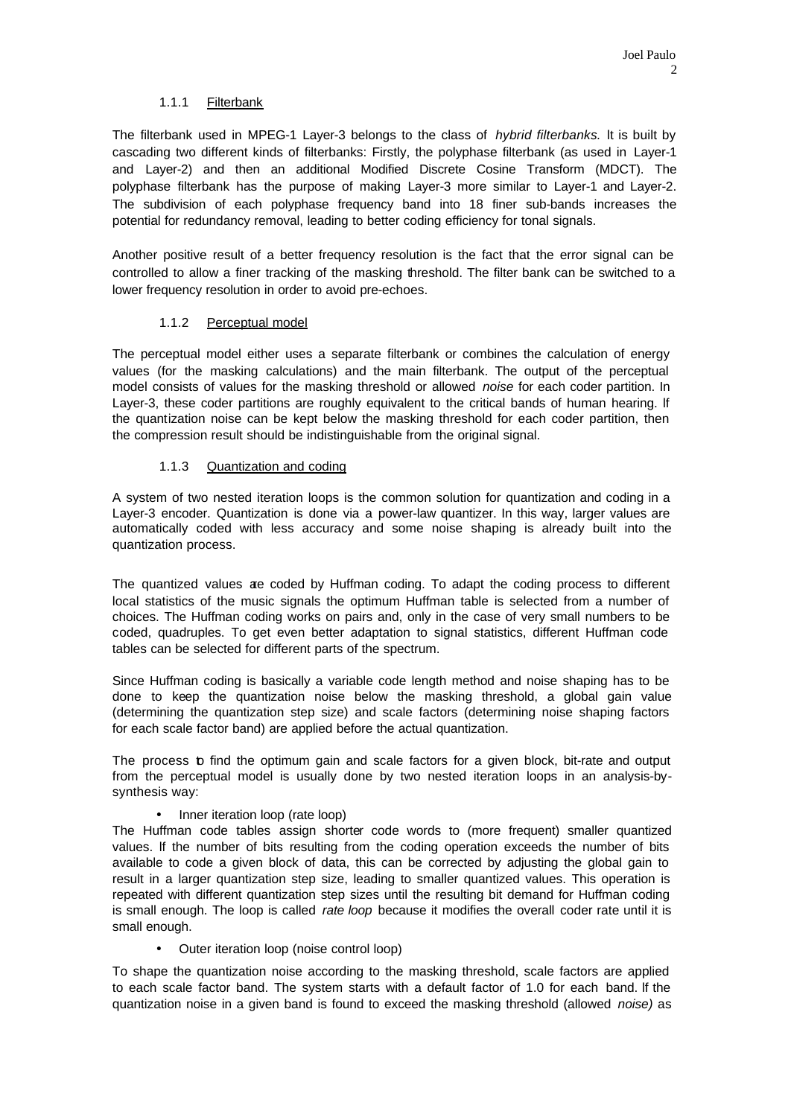# 1.1.1 Filterbank

The filterbank used in MPEG-1 Layer-3 belongs to the class of *hybrid filterbanks.* lt is built by cascading two different kinds of filterbanks: Firstly, the polyphase filterbank (as used in Layer-1 and Layer-2) and then an additional Modified Discrete Cosine Transform (MDCT). The polyphase filterbank has the purpose of making Layer-3 more similar to Layer-1 and Layer-2. The subdivision of each polyphase frequency band into 18 finer sub-bands increases the potential for redundancy removal, leading to better coding efficiency for tonal signals.

Another positive result of a better frequency resolution is the fact that the error signal can be controlled to allow a finer tracking of the masking threshold. The filter bank can be switched to a lower frequency resolution in order to avoid pre-echoes.

# 1.1.2 Perceptual model

The perceptual model either uses a separate filterbank or combines the calculation of energy values (for the masking calculations) and the main filterbank. The output of the perceptual model consists of values for the masking threshold or allowed *noise* for each coder partition. In Layer-3, these coder partitions are roughly equivalent to the critical bands of human hearing. lf the quantization noise can be kept below the masking threshold for each coder partition, then the compression result should be indistinguishable from the original signal.

# 1.1.3 Quantization and coding

A system of two nested iteration loops is the common solution for quantization and coding in a Layer-3 encoder. Quantization is done via a power-law quantizer. In this way, larger values are automatically coded with less accuracy and some noise shaping is already built into the quantization process.

The quantized values are coded by Huffman coding. To adapt the coding process to different local statistics of the music signals the optimum Huffman table is selected from a number of choices. The Huffman coding works on pairs and, only in the case of very small numbers to be coded, quadruples. To get even better adaptation to signal statistics, different Huffman code tables can be selected for different parts of the spectrum.

Since Huffman coding is basically a variable code length method and noise shaping has to be done to keep the quantization noise below the masking threshold, a global gain value (determining the quantization step size) and scale factors (determining noise shaping factors for each scale factor band) are applied before the actual quantization.

The process b find the optimum gain and scale factors for a given block, bit-rate and output from the perceptual model is usually done by two nested iteration loops in an analysis-bysynthesis way:

# • Inner iteration loop (rate loop)

The Huffman code tables assign shorter code words to (more frequent) smaller quantized values. lf the number of bits resulting from the coding operation exceeds the number of bits available to code a given block of data, this can be corrected by adjusting the global gain to result in a larger quantization step size, leading to smaller quantized values. This operation is repeated with different quantization step sizes until the resulting bit demand for Huffman coding is small enough. The loop is called *rate loop* because it modifies the overall coder rate until it is small enough.

• Outer iteration loop (noise control loop)

To shape the quantization noise according to the masking threshold, scale factors are applied to each scale factor band. The system starts with a default factor of 1.0 for each band. lf the quantization noise in a given band is found to exceed the masking threshold (allowed *noise)* as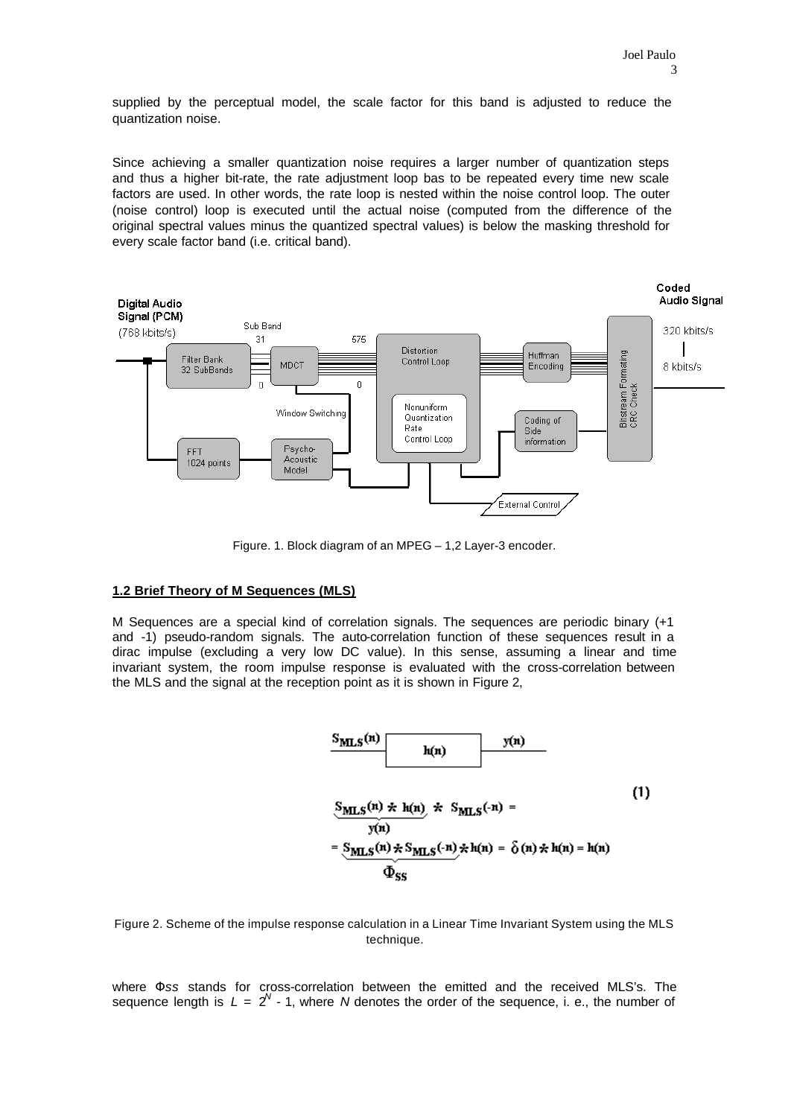supplied by the perceptual model, the scale factor for this band is adjusted to reduce the quantization noise.

Since achieving a smaller quantization noise requires a larger number of quantization steps and thus a higher bit-rate, the rate adjustment loop bas to be repeated every time new scale factors are used. In other words, the rate loop is nested within the noise control loop. The outer (noise control) loop is executed until the actual noise (computed from the difference of the original spectral values minus the quantized spectral values) is below the masking threshold for every scale factor band (i.e. critical band).



Figure. 1. Block diagram of an MPEG – 1,2 Layer-3 encoder.

# **1.2 Brief Theory of M Sequences (MLS)**

M Sequences are a special kind of correlation signals. The sequences are periodic binary (+1 and -1) pseudo-random signals. The auto-correlation function of these sequences result in a dirac impulse (excluding a very low DC value). In this sense, assuming a linear and time invariant system, the room impulse response is evaluated with the cross-correlation between the MLS and the signal at the reception point as it is shown in Figure 2,



Figure 2. Scheme of the impulse response calculation in a Linear Time Invariant System using the MLS technique.

where Φ*ss* stands for cross-correlation between the emitted and the received MLS's. The sequence length is  $L = 2^N \cdot 1$ , where *N* denotes the order of the sequence, i. e., the number of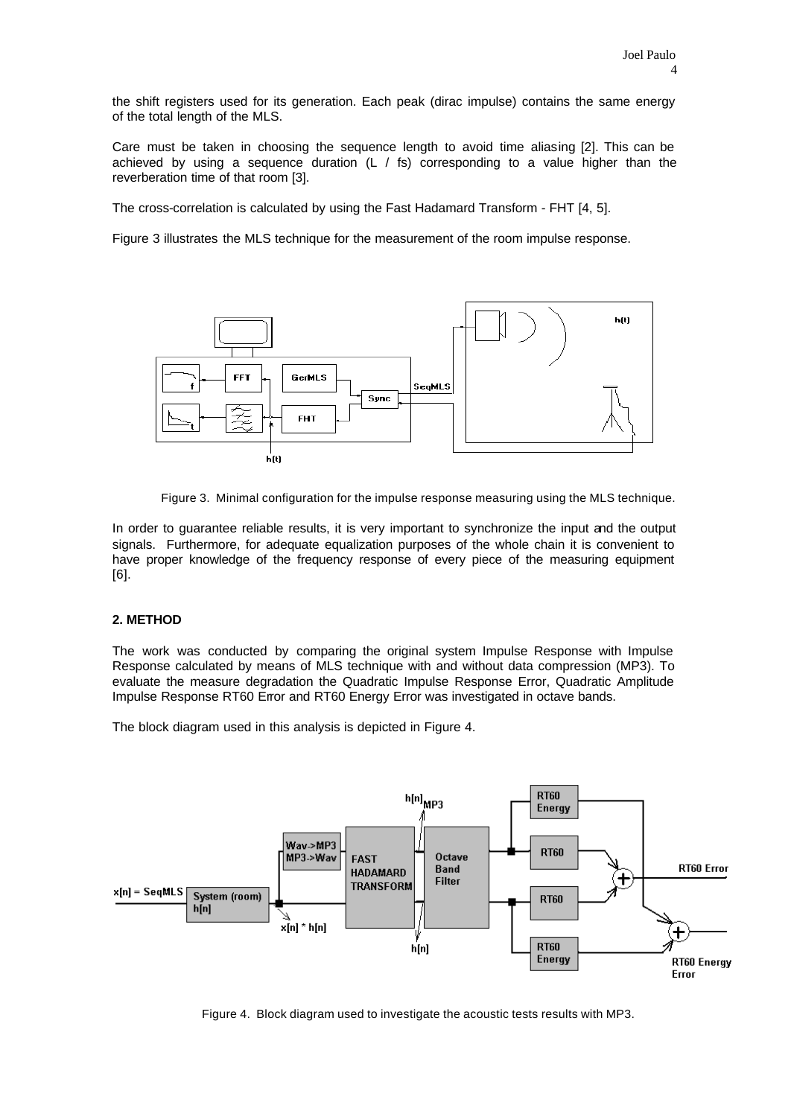the shift registers used for its generation. Each peak (dirac impulse) contains the same energy of the total length of the MLS.

Care must be taken in choosing the sequence length to avoid time aliasing [2]. This can be achieved by using a sequence duration (L  $/$  fs) corresponding to a value higher than the reverberation time of that room [3].

The cross-correlation is calculated by using the Fast Hadamard Transform - FHT [4, 5].

Figure 3 illustrates the MLS technique for the measurement of the room impulse response.



Figure 3. Minimal configuration for the impulse response measuring using the MLS technique.

In order to guarantee reliable results, it is very important to synchronize the input and the output signals. Furthermore, for adequate equalization purposes of the whole chain it is convenient to have proper knowledge of the frequency response of every piece of the measuring equipment [6].

# **2. METHOD**

The work was conducted by comparing the original system Impulse Response with Impulse Response calculated by means of MLS technique with and without data compression (MP3). To evaluate the measure degradation the Quadratic Impulse Response Error, Quadratic Amplitude Impulse Response RT60 Error and RT60 Energy Error was investigated in octave bands.

The block diagram used in this analysis is depicted in Figure 4.



Figure 4. Block diagram used to investigate the acoustic tests results with MP3.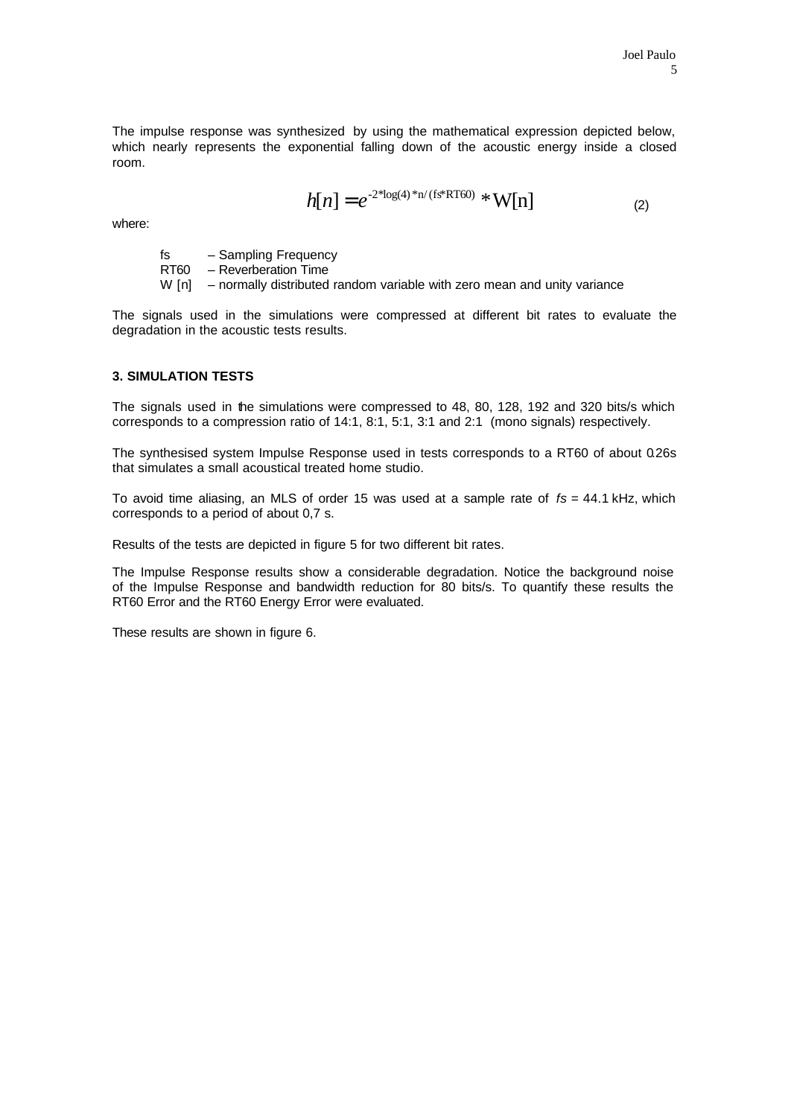The impulse response was synthesized by using the mathematical expression depicted below, which nearly represents the exponential falling down of the acoustic energy inside a closed room.

$$
h[n] = e^{-2*log(4)*n/(fs*RT60)} * W[n]
$$
 (2)

where:

fs – Sampling Frequency RT60 – Reverberation Time W [n] – normally distributed random variable with zero mean and unity variance

The signals used in the simulations were compressed at different bit rates to evaluate the degradation in the acoustic tests results.

# **3. SIMULATION TESTS**

The signals used in the simulations were compressed to 48, 80, 128, 192 and 320 bits/s which corresponds to a compression ratio of 14:1, 8:1, 5:1, 3:1 and 2:1 (mono signals) respectively.

The synthesised system Impulse Response used in tests corresponds to a RT60 of about 0.26s that simulates a small acoustical treated home studio.

To avoid time aliasing, an MLS of order 15 was used at a sample rate of *fs* = 44.1 kHz, which corresponds to a period of about 0,7 s.

Results of the tests are depicted in figure 5 for two different bit rates.

The Impulse Response results show a considerable degradation. Notice the background noise of the Impulse Response and bandwidth reduction for 80 bits/s. To quantify these results the RT60 Error and the RT60 Energy Error were evaluated.

These results are shown in figure 6.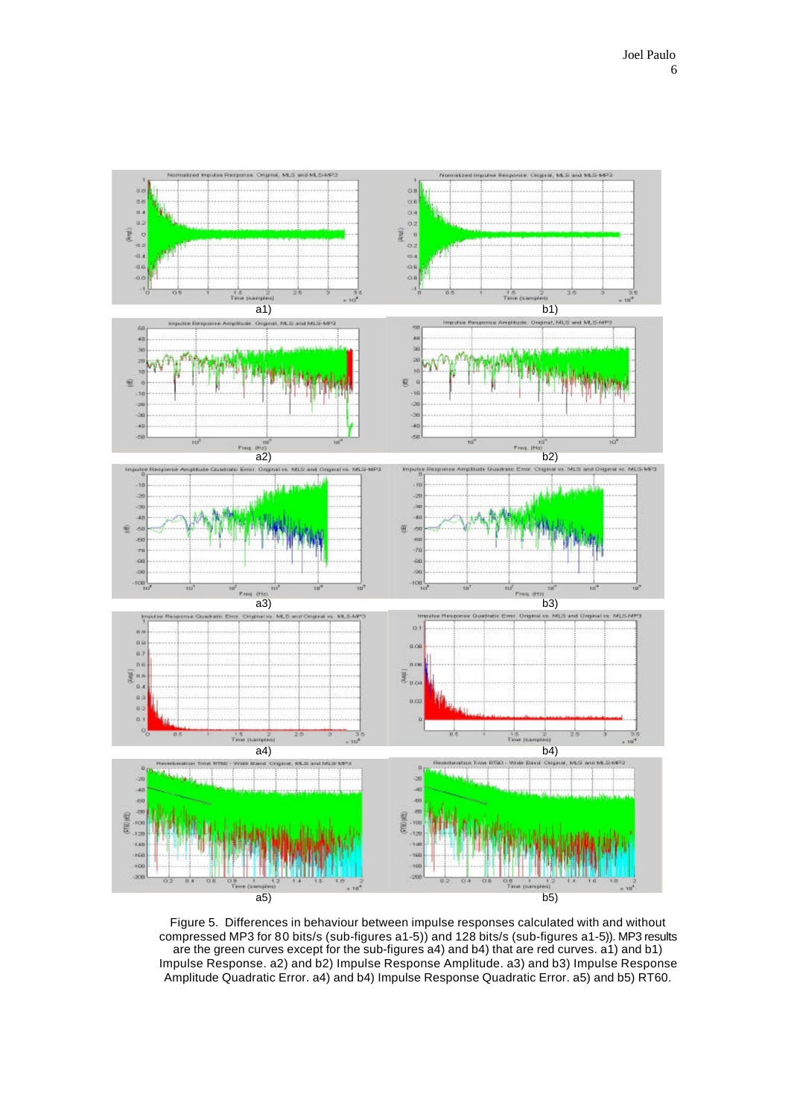

Figure 5. Differences in behaviour between impulse responses calculated with and without compressed MP3 for 80 bits/s (sub-figures a1-5)) and 128 bits/s (sub-figures a1-5)). MP3 results are the green curves except for the sub-figures a4) and b4) that are red curves. a1) and b1) Impulse Response. a2) and b2) Impulse Response Amplitude. a3) and b3) Impulse Response Amplitude Quadratic Error. a4) and b4) Impulse Response Quadratic Error. a5) and b5) RT60.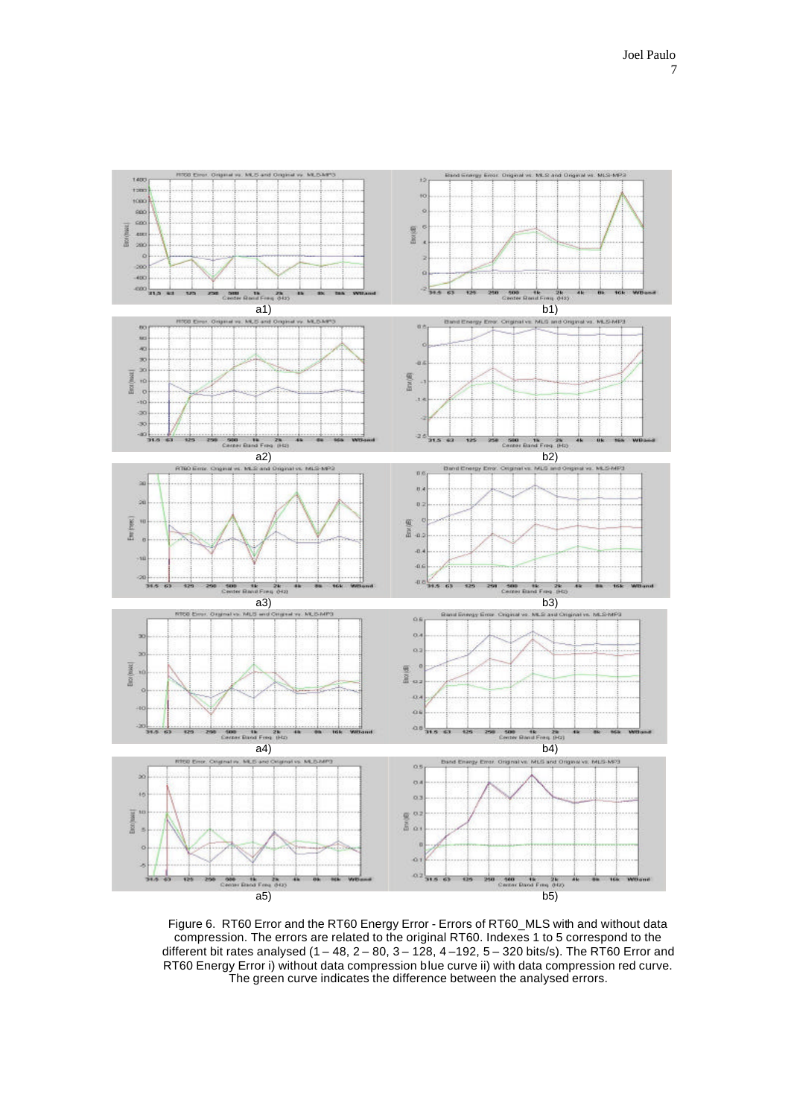

Figure 6. RT60 Error and the RT60 Energy Error - Errors of RT60\_MLS with and without data compression. The errors are related to the original RT60. Indexes 1 to 5 correspond to the different bit rates analysed (1 – 48, 2 – 80, 3 – 128, 4 –192, 5 – 320 bits/s). The RT60 Error and RT60 Energy Error i) without data compression blue curve ii) with data compression red curve. The green curve indicates the difference between the analysed errors.